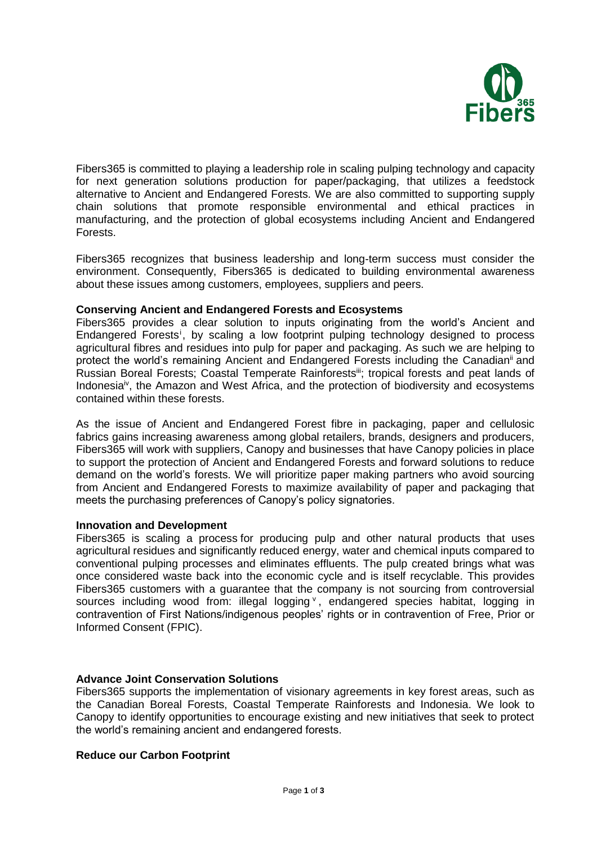

Fibers365 is committed to playing a leadership role in scaling pulping technology and capacity for next generation solutions production for paper/packaging, that utilizes a feedstock alternative to Ancient and Endangered Forests. We are also committed to supporting supply chain solutions that promote responsible environmental and ethical practices in manufacturing, and the protection of global ecosystems including Ancient and Endangered Forests.

Fibers365 recognizes that business leadership and long-term success must consider the environment. Consequently, Fibers365 is dedicated to building environmental awareness about these issues among customers, employees, suppliers and peers.

## **Conserving Ancient and Endangered Forests and Ecosystems**

Fibers365 provides a clear solution to inputs originating from the world's Ancient and Endangered Forests<sup>i</sup>, by scaling a low footprint pulping technology designed to process agricultural fibres and residues into pulp for paper and packaging. As such we are helping to protect the world's remaining Ancient and Endangered Forests including the Canadianii and Russian Boreal Forests; Coastal Temperate Rainforestsiii; tropical forests and peat lands of Indonesia<sup>iv</sup>, the Amazon and West Africa, and the protection of biodiversity and ecosystems contained within these forests.

As the issue of Ancient and Endangered Forest fibre in packaging, paper and cellulosic fabrics gains increasing awareness among global retailers, brands, designers and producers, Fibers365 will work with suppliers, [Canopy](http://www.canopyplanet.org/) and [businesses](https://canopyplanet.org/partners/) that have Canopy policies in place to support the protection of Ancient and Endangered Forests and forward solutions to reduce demand on the world's forests. We will prioritize paper making partners who avoid sourcing from Ancient and Endangered Forests to maximize availability of paper and packaging that meets the purchasing preferences of Canopy's policy signatories.

### **Innovation and Development**

Fibers365 is scaling a process for producing pulp and other natural products that uses agricultural residues and significantly reduced energy, water and chemical inputs compared to conventional pulping processes and eliminates effluents. The pulp created brings what was once considered waste back into the economic cycle and is itself recyclable. This provides Fibers365 customers with a guarantee that the company is not sourcing from controversial sources including wood from: illegal logging v, endangered species habitat, logging in contravention of First Nations/indigenous peoples' rights or in contravention of Free, Prior or Informed Consent (FPIC).

# **Advance Joint Conservation Solutions**

Fibers365 supports the implementation of visionary agreements in key forest areas, such as the Canadian Boreal Forests, Coastal Temperate Rainforests and Indonesia. We look to Canopy to identify opportunities to encourage existing and new initiatives that seek to protect the world's remaining ancient and endangered forests.

# **Reduce our Carbon Footprint**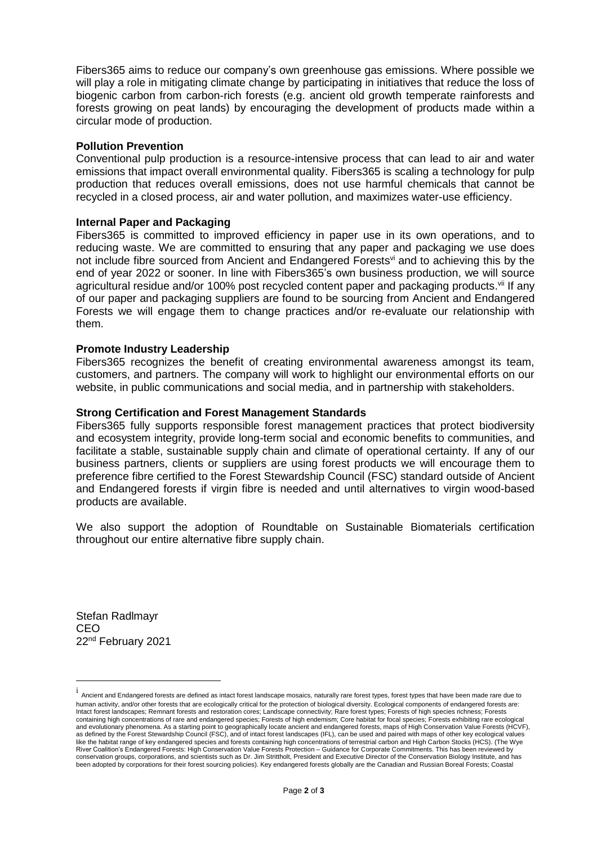Fibers365 aims to reduce our company's own greenhouse gas emissions. Where possible we will play a role in mitigating climate change by participating in initiatives that reduce the loss of biogenic carbon from carbon-rich forests (e.g. ancient old growth temperate rainforests and forests growing on peat lands) by encouraging the development of products made within a circular mode of production.

#### **Pollution Prevention**

Conventional pulp production is a resource-intensive process that can lead to air and water emissions that impact overall environmental quality. Fibers365 is scaling a technology for pulp production that reduces overall emissions, does not use harmful chemicals that cannot be recycled in a closed process, air and water pollution, and maximizes water-use efficiency.

#### **Internal Paper and Packaging**

Fibers365 is committed to improved efficiency in paper use in its own operations, and to reducing waste. We are committed to ensuring that any paper and packaging we use does not include fibre sourced from Ancient and Endangered Forests<sup>vi</sup> and to achieving this by the end of year 2022 or sooner. In line with Fibers365's own business production, we will source agricultural residue and/or 100% post recycled content paper and packaging products.<sup>vii</sup> If any of our paper and packaging suppliers are found to be sourcing from Ancient and Endangered Forests we will engage them to change practices and/or re-evaluate our relationship with them.

#### **Promote Industry Leadership**

Fibers365 recognizes the benefit of creating environmental awareness amongst its team, customers, and partners. The company will work to highlight our environmental efforts on our website, in public communications and social media, and in partnership with stakeholders.

#### **Strong Certification and Forest Management Standards**

Fibers365 fully supports responsible forest management practices that protect biodiversity and ecosystem integrity, provide long-term social and economic benefits to communities, and facilitate a stable, sustainable supply chain and climate of operational certainty. If any of our business partners, clients or suppliers are using forest products we will encourage them to preference fibre certified to the Forest Stewardship Council (FSC) standard outside of Ancient and Endangered forests if virgin fibre is needed and until alternatives to virgin wood-based products are available.

We also support the adoption of Roundtable on Sustainable Biomaterials certification throughout our entire alternative fibre supply chain.

Stefan Radlmayr CEO 22nd February 2021

 $\overline{a}$ 

i Ancient and Endangered forests are defined as intact forest landscape mosaics, naturally rare forest types, forest types that have been made rare due to human activity, and/or other forests that are ecologically critical for the protection of biological diversity. Ecological components of endangered forests are: Intact forest landscapes; Remnant forests and restoration cores; Landscape connectivity; Rare forest types; Forests of high species richness; Forests containing high concentrations of rare and endangered species; Forests of high endemism; Core habitat for focal species; Forests exhibiting rare ecological and evolutionary phenomena. As a starting point to geographically locate ancient and endangered forests, maps of High Conservation Value Forests (HCVF), as defined by the Forest Stewardship Council (FSC), and of intact forest landscapes (IFL), can be used and paired with maps of other key ecological values like the habitat range of key endangered species and forests containing high concentrations of terrestrial carbon and High Carbon Stocks (HCS). (The Wye River Coalition's Endangered Forests: High Conservation Value Forests Protection – Guidance for Corporate Commitments. This has been reviewed by conservation groups, corporations, and scientists such as Dr. Jim Strittholt, President and Executive Director of the Conservation Biology Institute, and has been adopted by corporations for their forest sourcing policies). Key endangered forests globally are the Canadian and Russian Boreal Forests; Coastal